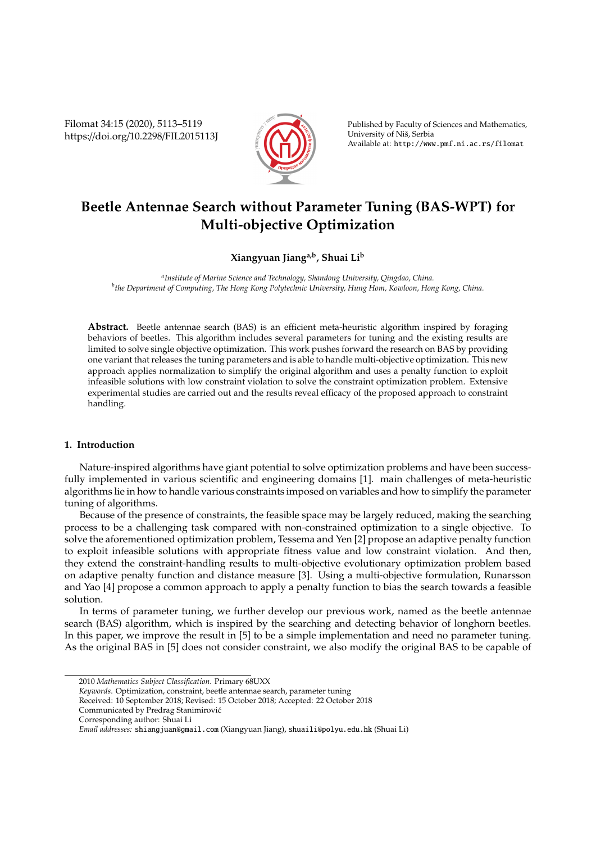Filomat 34:15 (2020), 5113–5119 https://doi.org/10.2298/FIL2015113J



Published by Faculty of Sciences and Mathematics, University of Nis, Serbia ˇ Available at: http://www.pmf.ni.ac.rs/filomat

# **Beetle Antennae Search without Parameter Tuning (BAS-WPT) for Multi-objective Optimization**

# **Xiangyuan Jianga,b, Shuai Li<sup>b</sup>**

*a Institute of Marine Science and Technology, Shandong University, Qingdao, China. b the Department of Computing, The Hong Kong Polytechnic University, Hung Hom, Kowloon, Hong Kong, China.*

**Abstract.** Beetle antennae search (BAS) is an efficient meta-heuristic algorithm inspired by foraging behaviors of beetles. This algorithm includes several parameters for tuning and the existing results are limited to solve single objective optimization. This work pushes forward the research on BAS by providing one variant that releases the tuning parameters and is able to handle multi-objective optimization. This new approach applies normalization to simplify the original algorithm and uses a penalty function to exploit infeasible solutions with low constraint violation to solve the constraint optimization problem. Extensive experimental studies are carried out and the results reveal efficacy of the proposed approach to constraint handling.

# **1. Introduction**

Nature-inspired algorithms have giant potential to solve optimization problems and have been successfully implemented in various scientific and engineering domains [1]. main challenges of meta-heuristic algorithms lie in how to handle various constraints imposed on variables and how to simplify the parameter tuning of algorithms.

Because of the presence of constraints, the feasible space may be largely reduced, making the searching process to be a challenging task compared with non-constrained optimization to a single objective. To solve the aforementioned optimization problem, Tessema and Yen [2] propose an adaptive penalty function to exploit infeasible solutions with appropriate fitness value and low constraint violation. And then, they extend the constraint-handling results to multi-objective evolutionary optimization problem based on adaptive penalty function and distance measure [3]. Using a multi-objective formulation, Runarsson and Yao [4] propose a common approach to apply a penalty function to bias the search towards a feasible solution.

In terms of parameter tuning, we further develop our previous work, named as the beetle antennae search (BAS) algorithm, which is inspired by the searching and detecting behavior of longhorn beetles. In this paper, we improve the result in [5] to be a simple implementation and need no parameter tuning. As the original BAS in [5] does not consider constraint, we also modify the original BAS to be capable of

<sup>2010</sup> *Mathematics Subject Classification*. Primary 68UXX

*Keywords*. Optimization, constraint, beetle antennae search, parameter tuning

Received: 10 September 2018; Revised: 15 October 2018; Accepted: 22 October 2018

Communicated by Predrag Stanimirovic´

Corresponding author: Shuai Li

*Email addresses:* shiangjuan@gmail.com (Xiangyuan Jiang), shuaili@polyu.edu.hk (Shuai Li)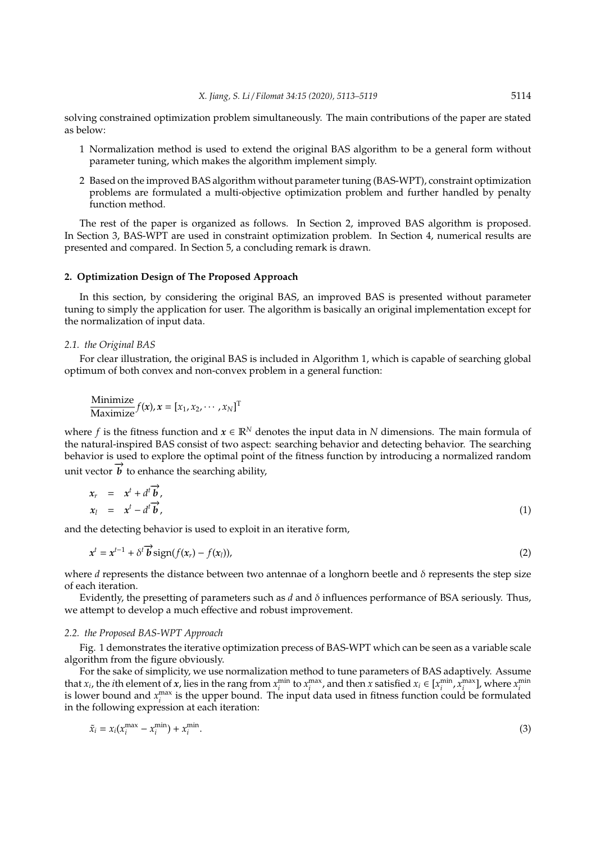solving constrained optimization problem simultaneously. The main contributions of the paper are stated as below:

- 1 Normalization method is used to extend the original BAS algorithm to be a general form without parameter tuning, which makes the algorithm implement simply.
- 2 Based on the improved BAS algorithm without parameter tuning (BAS-WPT), constraint optimization problems are formulated a multi-objective optimization problem and further handled by penalty function method.

The rest of the paper is organized as follows. In Section 2, improved BAS algorithm is proposed. In Section 3, BAS-WPT are used in constraint optimization problem. In Section 4, numerical results are presented and compared. In Section 5, a concluding remark is drawn.

#### **2. Optimization Design of The Proposed Approach**

In this section, by considering the original BAS, an improved BAS is presented without parameter tuning to simply the application for user. The algorithm is basically an original implementation except for the normalization of input data.

## *2.1. the Original BAS*

For clear illustration, the original BAS is included in Algorithm 1, which is capable of searching global optimum of both convex and non-convex problem in a general function:

$$
\frac{\text{Minimize}}{\text{Maximize}} f(x), x = [x_1, x_2, \cdots, x_N]^T
$$

where *f* is the fitness function and  $x \in \mathbb{R}^N$  denotes the input data in *N* dimensions. The main formula of the natural-inspired BAS consist of two aspect: searching behavior and detecting behavior. The searching behavior is used to explore the optimal point of the fitness function by introducing a normalized random unit vector  $\vec{b}$  to enhance the searching ability,

$$
x_r = x^t + d^t \overrightarrow{b},
$$
  
\n
$$
x_l = x^t - d^t \overrightarrow{b},
$$
\n(1)

and the detecting behavior is used to exploit in an iterative form,

$$
x^{t} = x^{t-1} + \delta^{t} \overrightarrow{b} \operatorname{sign}(f(x_{r}) - f(x_{l})), \tag{2}
$$

where *d* represents the distance between two antennae of a longhorn beetle and δ represents the step size of each iteration.

Evidently, the presetting of parameters such as  $d$  and  $\delta$  influences performance of BSA seriously. Thus, we attempt to develop a much effective and robust improvement.

#### *2.2. the Proposed BAS-WPT Approach*

Fig. 1 demonstrates the iterative optimization precess of BAS-WPT which can be seen as a variable scale algorithm from the figure obviously.

For the sake of simplicity, we use normalization method to tune parameters of BAS adaptively. Assume that  $x_i$ , the *i*th element of x, lies in the rang from  $x_i^{\min}$  to  $x_i^{\max}$ , and then x satisfied  $x_i \in [x_i^{\min}, x_i^{\max}]$ , where  $x_i^{\min}$ is lower bound and  $x_i^{\max}$  is the upper bound. The input data used in fitness function could be formulated in the following expression at each iteration:

$$
\tilde{x}_i = x_i(x_i^{\max} - x_i^{\min}) + x_i^{\min}.\tag{3}
$$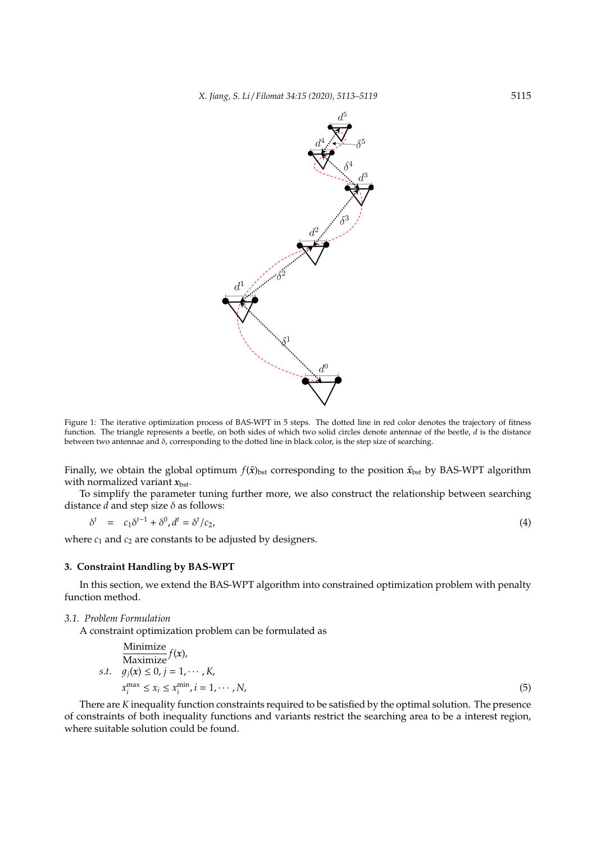

Figure 1: The iterative optimization process of BAS-WPT in 5 steps. The dotted line in red color denotes the trajectory of fitness function. The triangle represents a beetle, on both sides of which two solid circles denote antennae of the beetle, *d* is the distance between two antennae and  $\delta$ , corresponding to the dotted line in black color, is the step size of searching.

Finally, we obtain the global optimum  $f(\tilde{x})_{\text{bst}}$  corresponding to the position  $\tilde{x}_{\text{bst}}$  by BAS-WPT algorithm with normalized variant  $x_{\text{bst}}$ .

To simplify the parameter tuning further more, we also construct the relationship between searching distance  $d$  and step size  $\delta$  as follows:

$$
\delta^t = c_1 \delta^{t-1} + \delta^0, d^t = \delta^t / c_2,\tag{4}
$$

where  $c_1$  and  $c_2$  are constants to be adjusted by designers.

# **3. Constraint Handling by BAS-WPT**

In this section, we extend the BAS-WPT algorithm into constrained optimization problem with penalty function method.

*3.1. Problem Formulation*

A constraint optimization problem can be formulated as

$$
\begin{array}{ll}\n\text{Minimize} \\
\text{Maximize} & f(x), \\
s.t. & g_j(x) \le 0, j = 1, \dots, K, \\
x_i^{\max} \le x_i \le x_i^{\min}, i = 1, \dots, N,\n\end{array} \tag{5}
$$

There are *K* inequality function constraints required to be satisfied by the optimal solution. The presence of constraints of both inequality functions and variants restrict the searching area to be a interest region, where suitable solution could be found.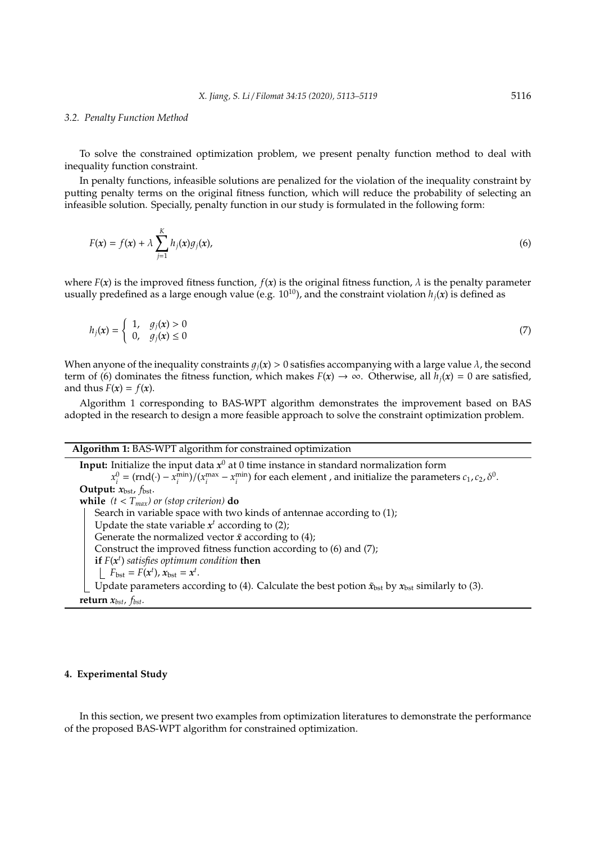#### *3.2. Penalty Function Method*

To solve the constrained optimization problem, we present penalty function method to deal with inequality function constraint.

In penalty functions, infeasible solutions are penalized for the violation of the inequality constraint by putting penalty terms on the original fitness function, which will reduce the probability of selecting an infeasible solution. Specially, penalty function in our study is formulated in the following form:

$$
F(x) = f(x) + \lambda \sum_{j=1}^{K} h_j(x)g_j(x),
$$
\n(6)

where  $F(x)$  is the improved fitness function,  $f(x)$  is the original fitness function,  $\lambda$  is the penalty parameter usually predefined as a large enough value (e.g.  $10^{10}$ ), and the constraint violation  $h_j(x)$  is defined as

$$
h_j(x) = \begin{cases} 1, & g_j(x) > 0 \\ 0, & g_j(x) \le 0 \end{cases} \tag{7}
$$

When anyone of the inequality constraints  $q_i(x) > 0$  satisfies accompanying with a large value  $\lambda$ , the second term of (6) dominates the fitness function, which makes  $F(x) \to \infty$ . Otherwise, all  $h_i(x) = 0$  are satisfied, and thus  $F(x) = f(x)$ .

Algorithm 1 corresponding to BAS-WPT algorithm demonstrates the improvement based on BAS adopted in the research to design a more feasible approach to solve the constraint optimization problem.

## **Algorithm 1:** BAS-WPT algorithm for constrained optimization

**Input:** Initialize the input data  $x^0$  at 0 time instance in standard normalization form  $x_i^0 = (rnd(\cdot) - x_i^{\text{min}})/(x_i^{\text{max}} - x_i^{\text{min}})$  for each element, and initialize the parameters  $c_1$ ,  $c_2$ ,  $\delta^0$ . **Output:**  $x_{\text{bst}}$ ,  $f_{\text{bst}}$ . **while**  $(t < T_{max})$  or (stop criterion) **do** Search in variable space with two kinds of antennae according to (1); Update the state variable  $x^t$  according to  $(2)$ ; Generate the normalized vector  $\tilde{x}$  according to (4); Construct the improved fitness function according to (6) and (7); **if** *F*(*x t* ) *satisfies optimum condition* **then**  $F_{\text{bst}} = F(x^t)$ ,  $x_{\text{bst}} = x^t$ . Update parameters according to (4). Calculate the best potion  $\tilde{x}_{\text{bst}}$  by  $x_{\text{bst}}$  similarly to (3). **return**  $x_{bst}$ ,  $f_{bst}$ .

#### **4. Experimental Study**

In this section, we present two examples from optimization literatures to demonstrate the performance of the proposed BAS-WPT algorithm for constrained optimization.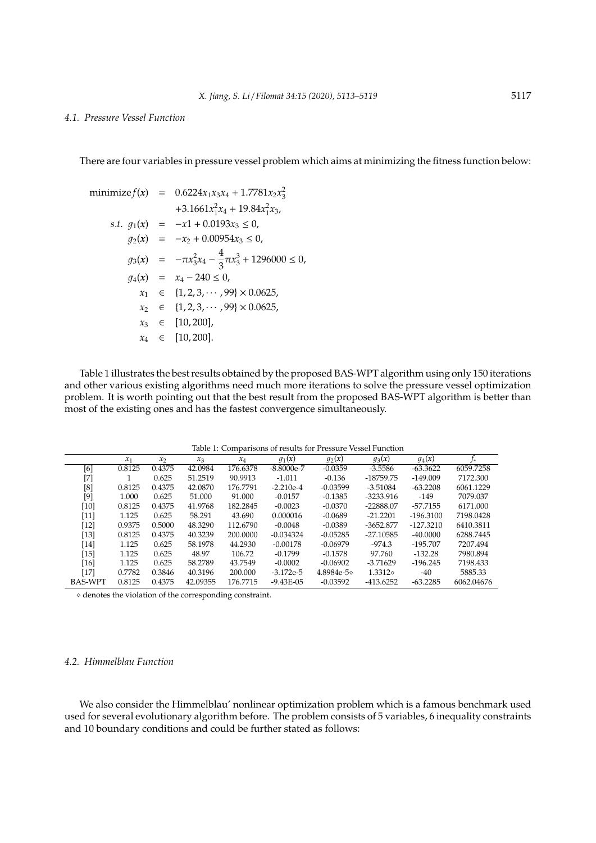# *4.1. Pressure Vessel Function*

There are four variables in pressure vessel problem which aims at minimizing the fitness function below:

minimize 
$$
f(x)
$$
 = 0.6224 $x_1x_3x_4$  + 1.7781 $x_2x_3^2$   
\n+3.1661 $x_1^2x_4$  + 19.84 $x_1^2x_3$ ,  
\ns.t.  $g_1(x)$  = - $x_1$  + 0.0193 $x_3$   $\leq$  0,  
\n $g_2(x)$  = - $x_2$  + 0.00954 $x_3$   $\leq$  0,  
\n $g_3(x)$  = - $\pi x_3^2x_4$  -  $\frac{4}{3}\pi x_3^3$  + 1296000  $\leq$  0,  
\n $g_4(x)$  =  $x_4$  - 240  $\leq$  0,  
\n $x_1$   $\in$  {1, 2, 3, · · · , 99}  $\times$  0.0625,  
\n $x_2$   $\in$  {1, 2, 3, · · · , 99}  $\times$  0.0625,  
\n $x_3$   $\in$  [10, 200],  
\n $x_4$   $\in$  [10, 200].

Table 1 illustrates the best results obtained by the proposed BAS-WPT algorithm using only 150 iterations and other various existing algorithms need much more iterations to solve the pressure vessel optimization problem. It is worth pointing out that the best result from the proposed BAS-WPT algorithm is better than most of the existing ones and has the fastest convergence simultaneously.

Table 1: Comparisons of results for Pressure Vessel Function

|                | $x_1$  | $x_2$  | $x_3$    | $x_4$    | $g_1(x)$      | $g_2(x)$   | $g_3(x)$    | $g_4(x)$    | '*         |
|----------------|--------|--------|----------|----------|---------------|------------|-------------|-------------|------------|
| [6]            | 0.8125 | 0.4375 | 42.0984  | 176.6378 | $-8.8000e-7$  | $-0.0359$  | $-3.5586$   | $-63.3622$  | 6059.7258  |
| [7]            |        | 0.625  | 51.2519  | 90.9913  | $-1.011$      | $-0.136$   | $-18759.75$ | $-149.009$  | 7172.300   |
| [8]            | 0.8125 | 0.4375 | 42.0870  | 176.7791 | $-2.210e-4$   | $-0.03599$ | $-3.51084$  | $-63.2208$  | 6061.1229  |
| $[9]$          | 1.000  | 0.625  | 51.000   | 91.000   | $-0.0157$     | $-0.1385$  | $-3233.916$ | $-149$      | 7079.037   |
| $[10]$         | 0.8125 | 0.4375 | 41.9768  | 182.2845 | $-0.0023$     | $-0.0370$  | $-22888.07$ | -57.7155    | 6171.000   |
| $[11]$         | 1.125  | 0.625  | 58.291   | 43.690   | 0.000016      | $-0.0689$  | $-21.2201$  | $-196.3100$ | 7198.0428  |
| [12]           | 0.9375 | 0.5000 | 48.3290  | 112.6790 | $-0.0048$     | $-0.0389$  | $-3652.877$ | $-127.3210$ | 6410.3811  |
| [13]           | 0.8125 | 0.4375 | 40.3239  | 200,0000 | $-0.034324$   | $-0.05285$ | $-27.10585$ | $-40,0000$  | 6288.7445  |
| $[14]$         | 1.125  | 0.625  | 58.1978  | 44.2930  | $-0.00178$    | $-0.06979$ | $-974.3$    | $-195.707$  | 7207.494   |
| $[15]$         | 1.125  | 0.625  | 48.97    | 106.72   | $-0.1799$     | $-0.1578$  | 97.760      | $-132.28$   | 7980.894   |
| $[16]$         | 1.125  | 0.625  | 58.2789  | 43.7549  | $-0.0002$     | $-0.06902$ | $-3.71629$  | $-196.245$  | 7198.433   |
| $[17]$         | 0.7782 | 0.3846 | 40.3196  | 200.000  | $-3.172e-5$   | 4.8984e-50 | 1.3312      | $-40$       | 5885.33    |
| <b>BAS-WPT</b> | 0.8125 | 0.4375 | 42.09355 | 176.7715 | $-9.43E - 05$ | $-0.03592$ | $-413.6252$ | $-63.2285$  | 6062.04676 |

 $\diamond$  denotes the violation of the corresponding constraint.

# *4.2. Himmelblau Function*

We also consider the Himmelblau' nonlinear optimization problem which is a famous benchmark used used for several evolutionary algorithm before. The problem consists of 5 variables, 6 inequality constraints and 10 boundary conditions and could be further stated as follows: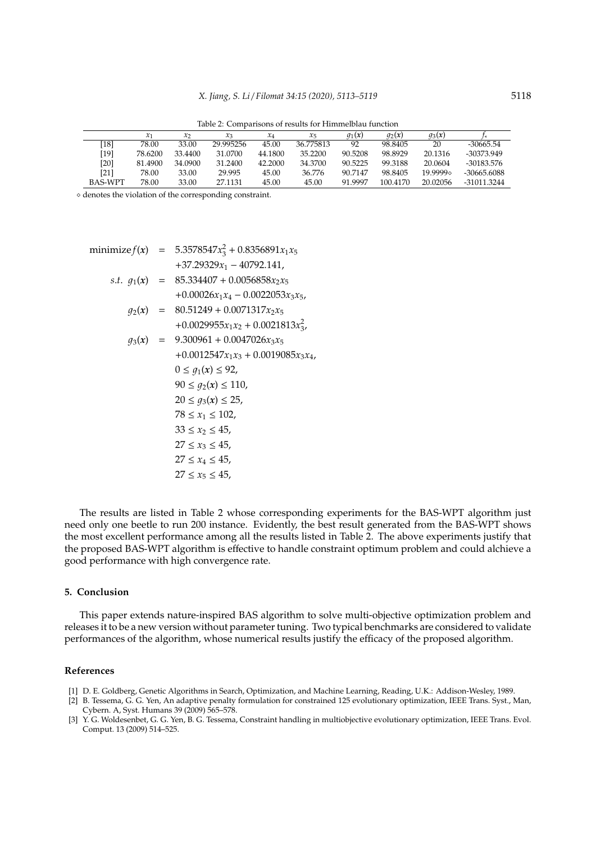Table 2: Comparisons of results for Himmelblau function

|                    |         | $\mathcal{X}$ | $x_3$     | $x_4$   | $x_{5}$   | $q_1(x)$ | $q_2(x)$ | $q_3(x)$ |             |
|--------------------|---------|---------------|-----------|---------|-----------|----------|----------|----------|-------------|
| $\lceil 18 \rceil$ | 78.00   | 33.00         | 29.995256 | 45.00   | 36.775813 | 92       | 98.8405  | 20       | $-30665.54$ |
| [19]               | 78.6200 | 33.4400       | 31.0700   | 44.1800 | 35.2200   | 90.5208  | 98.8929  | 20.1316  | -30373.949  |
| $[20]$             | 81.4900 | 34.0900       | 31.2400   | 42.2000 | 34.3700   | 90.5225  | 99.3188  | 20.0604  | -30183.576  |
| [21]               | 78.00   | 33.00         | 29.995    | 45.00   | 36.776    | 90.7147  | 98.8405  | 19.9999. | -30665.6088 |
| <b>BAS-WPT</b>     | 78.00   | 33.00         | 27.1131   | 45.00   | 45.00     | 91.9997  | 100.4170 | 20.02056 | -31011.3244 |
|                    |         |               |           |         |           |          |          |          |             |

 $\diamond$  denotes the violation of the corresponding constraint.

minimize  $f(x) = 5.3578547x_3^2 + 0.8356891x_1x_5$ +37.29329*x*<sup>1</sup> − 40792.141, *s.t.*  $q_1(x) = 85.334407 + 0.0056858x_2x_5$  $+0.00026x_1x_4 - 0.0022053x_3x_5$  $q_2(x) = 80.51249 + 0.0071317x_2x_5$  $+0.0029955x_1x_2 + 0.0021813x_3^2$  $q_3(x) = 9.300961 + 0.0047026x_3x_5$  $+0.0012547x_1x_3 + 0.0019085x_3x_4$  $0 \leq q_1(x) \leq 92$ ,  $90 \le g_2(x) \le 110$ ,  $20 \le q_3(x) \le 25$ ,  $78 \le x_1 \le 102$ ,  $33 \le x_2 \le 45$ ,  $27 \le x_3 \le 45$ ,  $27 \le x_4 \le 45$ ,  $27 \le x_5 \le 45$ ,

The results are listed in Table 2 whose corresponding experiments for the BAS-WPT algorithm just need only one beetle to run 200 instance. Evidently, the best result generated from the BAS-WPT shows the most excellent performance among all the results listed in Table 2. The above experiments justify that the proposed BAS-WPT algorithm is effective to handle constraint optimum problem and could alchieve a good performance with high convergence rate.

#### **5. Conclusion**

This paper extends nature-inspired BAS algorithm to solve multi-objective optimization problem and releases it to be a new version without parameter tuning. Two typical benchmarks are considered to validate performances of the algorithm, whose numerical results justify the efficacy of the proposed algorithm.

#### **References**

- [1] D. E. Goldberg, Genetic Algorithms in Search, Optimization, and Machine Learning, Reading, U.K.: Addison-Wesley, 1989.
- [2] B. Tessema, G. G. Yen, An adaptive penalty formulation for constrained 125 evolutionary optimization, IEEE Trans. Syst., Man, Cybern. A, Syst. Humans 39 (2009) 565–578.
- [3] Y. G. Woldesenbet, G. G. Yen, B. G. Tessema, Constraint handling in multiobjective evolutionary optimization, IEEE Trans. Evol. Comput. 13 (2009) 514–525.